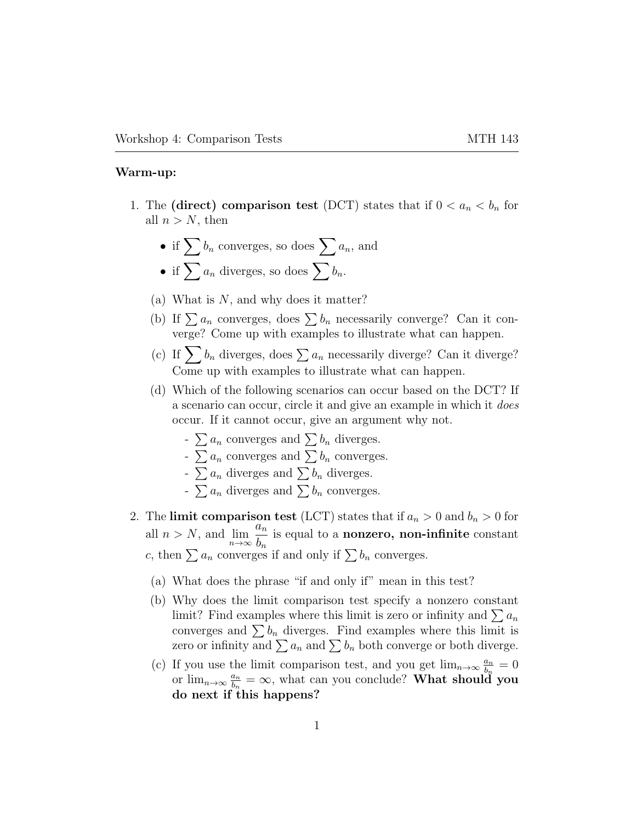## Warm-up:

- 1. The (direct) comparison test (DCT) states that if  $0 < a_n < b_n$  for all  $n > N$ , then
	- if  $\sum b_n$  converges, so does  $\sum a_n$ , and
	- if  $\sum a_n$  diverges, so does  $\sum b_n$ .
	- (a) What is  $N$ , and why does it matter?
	- (b) If  $\sum a_n$  converges, does  $\sum b_n$  necessarily converge? Can it converge? Come up with examples to illustrate what can happen.
	- (c) If  $\sum b_n$  diverges, does  $\sum a_n$  necessarily diverge? Can it diverge? Come up with examples to illustrate what can happen.
	- (d) Which of the following scenarios can occur based on the DCT? If a scenario can occur, circle it and give an example in which it does occur. If it cannot occur, give an argument why not.
		- $\sum a_n$  converges and  $\sum b_n$  diverges.
		- $\sum a_n$  converges and  $\sum b_n$  converges.
		- $\sum a_n$  diverges and  $\sum b_n$  diverges.
		- $\sum a_n$  diverges and  $\sum b_n$  converges.
- 2. The limit comparison test (LCT) states that if  $a_n > 0$  and  $b_n > 0$  for all  $n > N$ , and  $\lim_{n \to \infty}$  $\bar{a}_n$  $b_n$ is equal to a nonzero, non-infinite constant c, then  $\sum a_n$  converges if and only if  $\sum b_n$  converges.
	- (a) What does the phrase "if and only if" mean in this test?
	- (b) Why does the limit comparison test specify a nonzero constant limit? Find examples where this limit is zero or infinity and  $\sum a_n$ converges and  $\sum b_n$  diverges. Find examples where this limit is zero or infinity and  $\sum a_n$  and  $\sum b_n$  both converge or both diverge.
	- (c) If you use the limit comparison test, and you get  $\lim_{n\to\infty} \frac{a_n}{b_n}$  $\frac{a_n}{b_n}=0$ or  $\lim_{n\to\infty}\frac{a_n}{b_n}$  $\frac{a_n}{b_n} = \infty$ , what can you conclude? What should you do next if this happens?